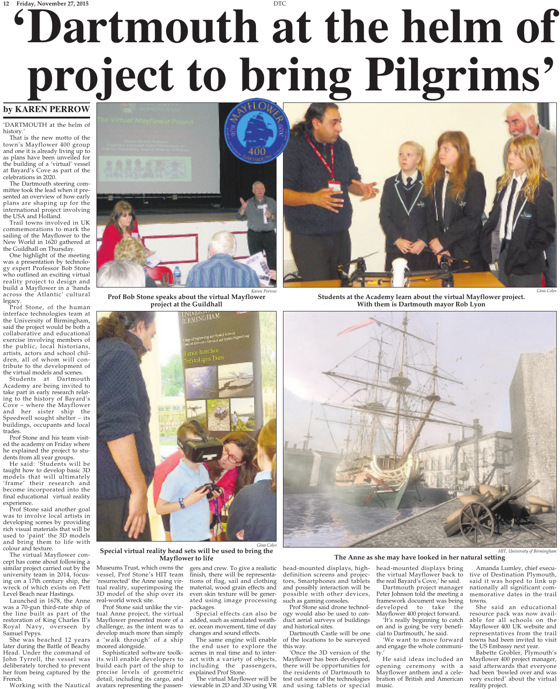# **12 Friday, November 27, 2015 'Dartmouth at the helm of project to bring Pilgrims'**

### **by KAREN PERROW**

'DARTMOUTH at the helm of history.

That is the new motto of the town's Mayflower 400 group and one it is already living up to as plans have been unveiled for the building of a 'virtual' vessel at Bayard's Cove as part of the celebrations in 2020.

The Dartmouth steering committee took the lead when it presented an overview of how early plans are shaping up for the international project involving the USA and Holland.

Trail towns involved in UK commemorations to mark the sailing of the Mayflower to the New World in 1620 gathered at the Guildhall on Thursday.

One highlight of the meeting was a presentation by technology expert Professor Bob Stone who outlined an exciting virtual reality project to design and build a Mayflower in a 'hands across the Atlantic' cultural legacy.

Prof Stone, of the human interface technologies team at the University of Birmingham, said the project would be both a collaborative and educational exercise involving members of the public, local historians, artists, actors and school children, all of whom will contribute to the development of

the virtual models and scenes. Students at Dartmouth Academy are being invited to take part in early research relating to the history of Bayard's Cove – where the Mayflower and her sister ship the Speedwell sought shelter – its buildings, occupants and local trades

Prof Stone and his team visited the academy on Friday where he explained the project to stu-

dents from all year groups. He said: 'Students will be taught how to develop basic 3D models that will ultimately 'frame' their research and become incorporated into the final educational virtual reality experience.

Prof Stone said another goal was to involve local artists in developing scenes by providing rich visual materials that will be used to 'paint' the 3D models and bring them to life with colour and texture.

The virtual Mayflower concept has come about following a similar project carried out by the university team in 2014, focusing on a 17th century ship, the wreck of which exists on Pett Level Beach near Hastings.

Launched in 1678, the Anne was a 70-gun third-rate ship of the line built as part of the restoration of King Charles II's Royal Navy, overseen by Samuel Pepys.

She was beached 12 years later during the Battle of Beachy Head. Under the command of John Tyrrell, the vessel was deliberately torched to prevent her from being captured by the French.

Working with the Nautical



*Karen Perrow* **Prof Bob Stone speaks about the virtual Mayflower project at the Guildhall**





**Students at the Academy learn about the virtual Mayflower project. With them is Dartmouth mayor Rob Lyon**



**Special virtual reality head sets will be used to bring the Mayflower to life**

Museums Trust, which owns the vessel, Prof Stone's HIT team 'resurrected' the Anne using virtual reality, superimposing the 3D model of the ship over its real-world wreck site.

Prof Stone said unlike the virtual Anne project, the virtual Mayflower presented more of a challenge, as the intent was to develop much more than simply

a 'walk through' of a ship moored alongside. Sophisticated software toolkits will enable developers to build each part of the ship to precise levels of geometric detail, including its cargo, and avatars representing the passengers and crew. To give a realistic finish, there will be representations of flag, sail and clothing material, wood grain effects and even skin texture will be generated using image processing packages.

*Gina Coles*

Special effects can also be added, such as simulated weather, ocean movement, time of day changes and sound effects.

The same engine will enable the end user to explore the scenes in real time and to interact with a variety of objects, including the passengers,

explained Prof Stone. The virtual Mayflower will be viewable in 2D and 3D using VR

head-mounted displays, highdefinition screens and projec-tors, Smartphones and tablets and possibly interaction will be possible with other devices, such as gaming consoles.

Prof Stone said drone technol-ogy would also be used to conduct aerial surveys of buildings and historical sites.

Dartmouth Castle will be one of the locations to be surveyed this way.

'Once the 3D version of the Mayflower has been developed, there will be opportunities for the residents of Dartmouth to test out some of the technologies and using tablets or special

head-mounted displays bring the virtual Mayflower back to the real Bayard's Cove,' he said.

Dartmouth project manager Peter Johnson told the meeting a framework document was being developed to take the Mayflower 400 project forward.

'It's really beginning to catch on and is going be very beneficial to Dartmouth,' he said.

'We want to move forward and engage the whole community.'

He said ideas included an opening ceremony with a Mayflower anthem and a celebration of British and American music.

*HIT, University of Birmingham* **The Anne as she may have looked in her natural setting**

> Amanda Lumley, chief executive of Destination Plymouth, said it was hoped to link up nationally all significant commemorative dates in the trail towns.

> She said an educational resource pack was now available for all schools on the Mayflower 400 UK website and representatives from the trail towns had been invited to visit the US Embassy next year.

> Babette Grobler, Plymouth's Mayflower 400 project manager, said afterwards that everyone had been 'bowled over and was very excited' about the virtual reality project.